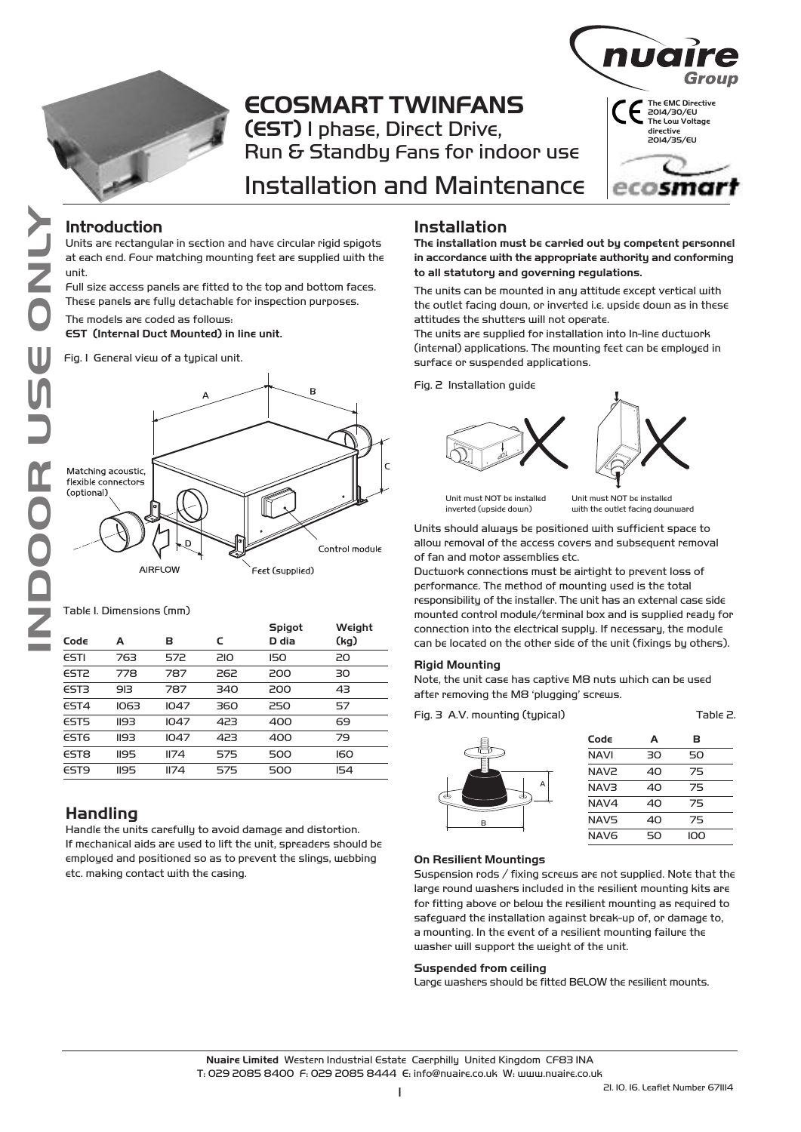

# **ECOSMART TWINFANS (EST)** 1 phase, Direct Drive, Run & Standby Fans for indoor use



# Installation and Maintenance

### **Introduction**

Units are rectangular in section and have circular rigid spigots at each end. Four matching mounting feet are supplied with the unit.

Full size access panels are fitted to the top and bottom faces. These panels are fully detachable for inspection purposes.

The models are coded as follows:

**EST (Internal Duct Mounted) in line unit.**

Fig. 1 General view of a typical unit.



Table 1. Dimensions (mm)

|      |      |      |     | Spigot     | Weight     |
|------|------|------|-----|------------|------------|
| Cod∈ | А    | в    | C   | D dia      | (kg)       |
| ESTI | 763  | 572  | 210 | <b>I50</b> | 20         |
| EST2 | 778  | 787  | 262 | 200        | 30         |
| EST3 | 913  | 787  | 340 | 200        | 43         |
| EST4 | 1063 | 1047 | 360 | 250        | 57         |
| EST5 | 1193 | 1047 | 423 | 400        | 69         |
| EST6 | 1193 | 1047 | 423 | 400        | 79         |
| EST8 | 1195 | II74 | 575 | 500        | <b>ICO</b> |
| EST9 | 1195 | II74 | 575 | 500        | IS4        |
|      |      |      |     |            |            |

## **Handling**

Handle the units carefully to avoid damage and distortion. If mechanical aids are used to lift the unit, spreaders should be employed and positioned so as to prevent the slings, webbing etc. making contact with the casing.

### **Installation**

**The installation must be carried out by competent personnel in accordance with the appropriate authority and conforming to all statutory and governing regulations.** 

The units can be mounted in any attitude except vertical with the outlet facing down, or inverted i.e. upside down as in these attitudes the shutters will not operate.

The units are supplied for installation into In-line ductwork (internal) applications. The mounting feet can be employed in surface or suspended applications.

Fig. 2 Installation guide





Unit must NOT be installed inverted (upside down)

Unit must NOT be installed with the outlet facing downward

Units should always be positioned with sufficient space to allow removal of the access covers and subsequent removal of fan and motor assemblies etc.

Ductwork connections must be airtight to prevent loss of performance. The method of mounting used is the total responsibility of the installer. The unit has an external case side mounted control module/terminal box and is supplied ready for connection into the electrical supply. If necessary, the module can be located on the other side of the unit (fixings by others).

### **Rigid Mounting**

Note, the unit case has captive M8 nuts which can be used after removing the M8 'plugging' screws.

 $Table 2$ 



| Code             | A  | в   |  |
|------------------|----|-----|--|
| <b>NAVI</b>      | חד | 50  |  |
| <b>NAV2</b>      | 40 | 75  |  |
| <b>NAV3</b>      | 40 | 75  |  |
| NAV4             | 40 | 75  |  |
| NAV5             | 40 | 75  |  |
| NAV <sub>6</sub> | 50 | ioo |  |
|                  |    |     |  |

#### **On Resilient Mountings**

Suspension rods / fixing screws are not supplied. Note that the large round washers included in the resilient mounting kits are for fitting above or below the resilient mounting as required to safeguard the installation against break-up of, or damage to, a mounting. In the event of a resilient mounting failure the washer will support the weight of the unit.

#### **Suspended from ceiling**

Large washers should be fitted BELOW the resilient mounts.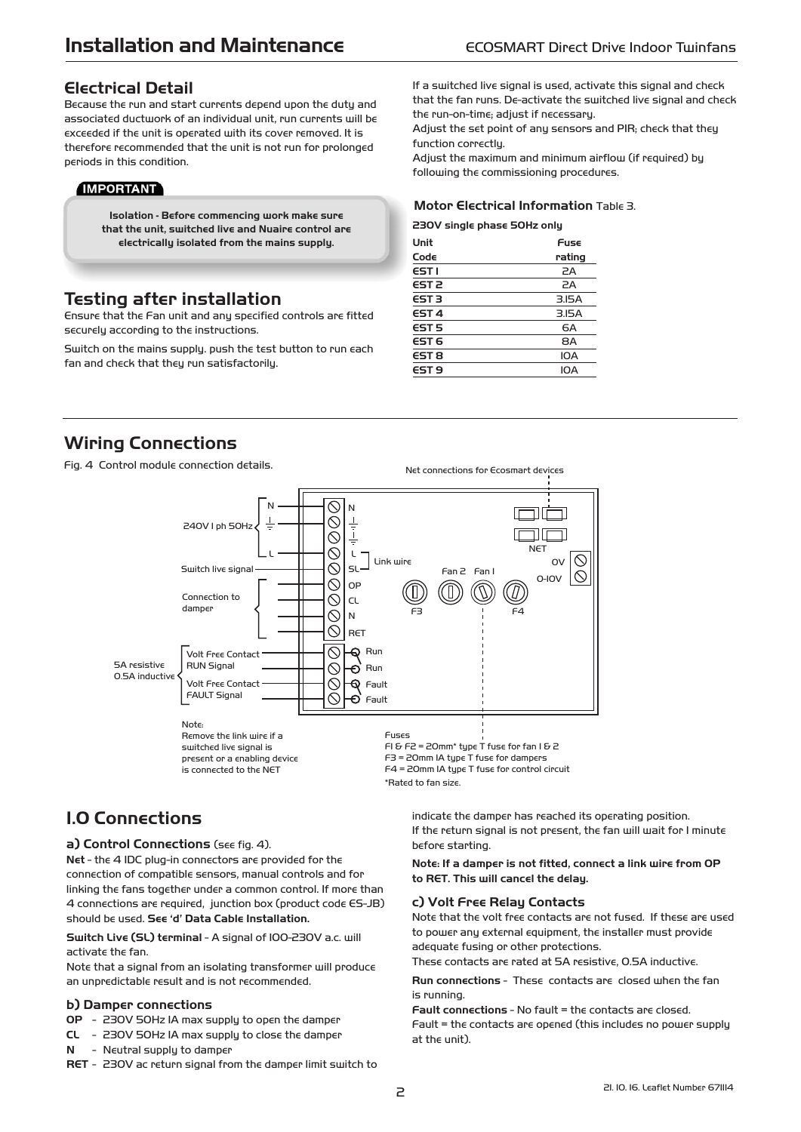### **Electrical Detail**

Because the run and start currents depend upon the duty and associated ductwork of an individual unit, run currents will be exceeded if the unit is operated with its cover removed. It is therefore recommended that the unit is not run for prolonged periods in this condition.

### **IMPORTANT**

**Isolation - Before commencing work make sure that the unit, switched live and Nuaire control are electrically isolated from the mains supply.** 

## **Testing after installation**

Ensure that the Fan unit and any specified controls are fitted securely according to the instructions.

Switch on the mains supply. push the test button to run each fan and check that they run satisfactorily.

If a switched live signal is used, activate this signal and check that the fan runs. De-activate the switched live signal and check the run-on-time; adjust if necessary.

Adjust the set point of any sensors and PIR; check that they function correctlu.

Adjust the maximum and minimum airflow (if required) by following the commissioning procedures.

#### **Motor Electrical Information** Table 3.

**230V single phase 50Hz only**

| Unit             | Fuse   |
|------------------|--------|
| Code             | rating |
| EST I            | 2A     |
| EST <sub>2</sub> | 2A     |
| EST <sub>3</sub> | 3.15A  |
| EST <sub>4</sub> | 3.15A  |
| EST <sub>5</sub> | 6A     |
| EST <sub>6</sub> | 8A     |
| EST <sub>8</sub> | IOA    |
| EST <sub>9</sub> | IOA    |

## **Wiring Connections**

Fig. 4 Control module connection details.



## **1.0 Connections**

#### **a) Control Connections** (see fig. 4).

**Net** - the 4 IDC plug-in connectors are provided for the connection of compatible sensors, manual controls and for linking the fans together under a common control. If more than 4 connections are required, junction box (product code ES-JB) should be used. **See 'd' Data Cable Installation.** 

**Switch Live (SL) terminal** - A signal of 100-230V a.c. will activate the fan.

Note that a signal from an isolating transformer will produce an unpredictable result and is not recommended.

### **b) Damper connections**

- **OP** 230V 50Hz 1A max supply to open the damper
- **CL** 230V 50Hz 1A max supply to close the damper
- **N** Neutral supply to damper
- **RET** 230V ac return signal from the damper limit switch to

indicate the damper has reached its operating position. If the return signal is not present, the fan will wait for 1 minute before starting.

**Note: If a damper is not fitted, connect a link wire from OP to RET. This will cancel the delay.**

#### **c) Volt Free Relay Contacts**

Note that the volt free contacts are not fused. If these are used to power any external equipment, the installer must provide adequate fusing or other protections.

These contacts are rated at 5A resistive, 0.5A inductive.

**Run connections** - These contacts are closed when the fan is running.

**Fault connections** - No fault = the contacts are closed. Fault = the contacts are opened (this includes no power supply at the unit).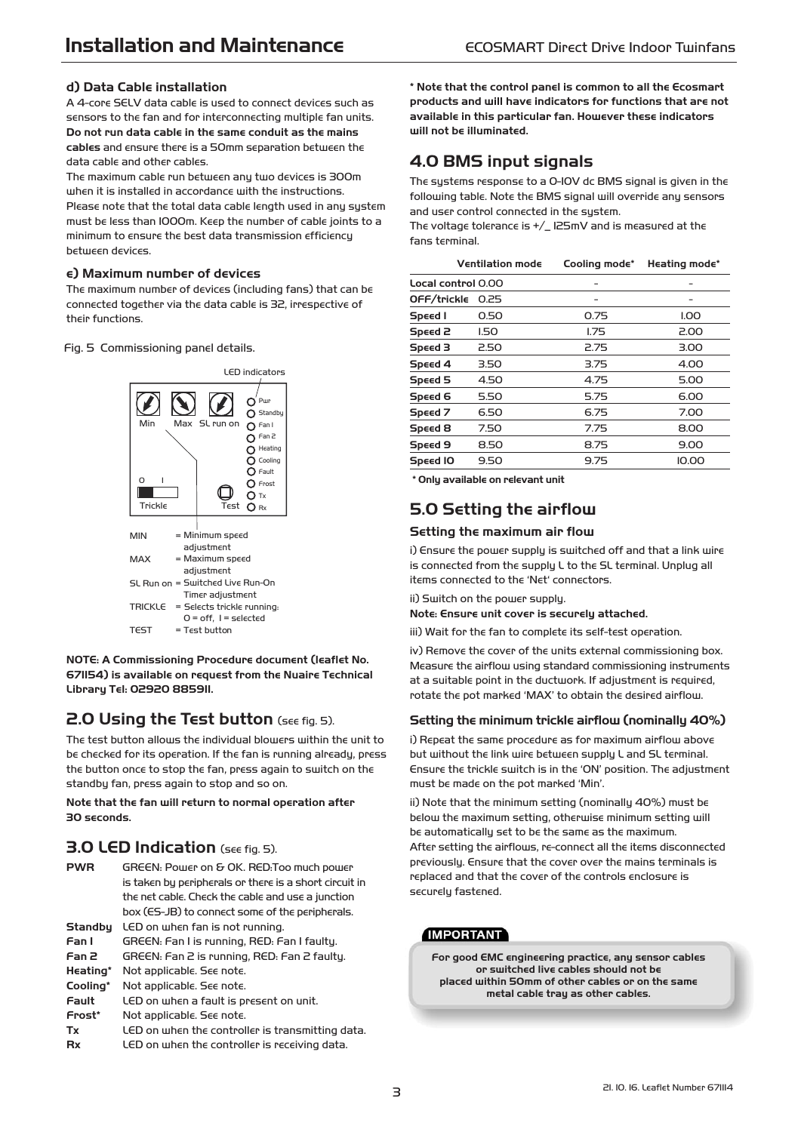### **d) Data Cable installation**

A 4-core SELV data cable is used to connect devices such as sensors to the fan and for interconnecting multiple fan units. **Do not run data cable in the same conduit as the mains cables** and ensure there is a 50mm separation between the data cable and other cables.

The maximum cable run between any two devices is 300m when it is installed in accordance with the instructions. Please note that the total data cable length used in any system must be less than 1000m. Keep the number of cable joints to a minimum to ensure the best data transmission efficiency between devices.

#### **e) Maximum number of devices**

The maximum number of devices (including fans) that can be connected together via the data cable is 32, irrespective of their functions.

Fig. 5 Commissioning panel details.



**NOTE: A Commissioning Procedure document (leaflet No. 671154) is available on request from the Nuaire Technical Library Tel: 02920 885911.**

## **2.0 Using the Test button** (see fig. 5).

The test button allows the individual blowers within the unit to be checked for its operation. If the fan is running already, press the button once to stop the fan, press again to switch on the standby fan, press again to stop and so on.

#### **Note that the fan will return to normal operation after 30 seconds.**

### **3.0 LED Indication** (see fig. 5).

**PWR** GREEN: Power on & OK. RED:Too much power is taken by peripherals or there is a short circuit in the net cable. Check the cable and use a junction box (ES-JB) to connect some of the peripherals. **Standby** LED on when fan is not running. **Fan 1** GREEN: Fan 1 is running, RED: Fan 1 faulty. **Fan 2** GREEN: Fan 2 is running, RED: Fan 2 faulty. **Heating\*** Not applicable. See note. **Cooling\*** Not applicable. See note. **Fault** LED on when a fault is present on unit. **Frost\*** Not applicable. See note. **Tx** LED on when the controller is transmitting data. **Rx** LED on when the controller is receiving data.

**\* Note that the control panel is common to all the Ecosmart products and will have indicators for functions that are not available in this particular fan. However these indicators will not be illuminated.**

## **4.0 BMS input signals**

The systems response to a 0-10V dc BMS signal is given in the following table. Note the BMS signal will override any sensors and user control connected in the system.

The voltage tolerance is +/\_ 125mV and is measured at the fans terminal.

|                    | <b>Ventilation mode</b> | Cooling mode* | Heating mode* |
|--------------------|-------------------------|---------------|---------------|
| Local control 0.00 |                         |               |               |
| OFF/trickle        | 0.25                    |               |               |
| Speed I            | 0.50                    | 0.75          | I.OO          |
| Speed 2            | 1.50                    | 1.75          | 2.00          |
| Speed 3            | 2.50                    | 2.75          | 3.00          |
| Speed 4            | 3.50                    | 3.75          | 4.00          |
| Speed 5            | 4.50                    | 4.75          | 5.00          |
| Speed 6            | 5.50                    | 5.75          | 6.00          |
| Speed 7            | 6.50                    | 6.75          | 7.00          |
| Speed 8            | 7.50                    | 7.75          | 8.00          |
| Speed 9            | 8.50                    | 8.75          | 9.00          |
| Speed IO           | 9.50                    | 9.75          | 10.00         |
|                    |                         |               |               |

**\* Only available on relevant unit**

### **5.0 Setting the airflow**

### **Setting the maximum air flow**

i) Ensure the power supply is switched off and that a link wire is connected from the supply L to the SL terminal. Unplug all items connected to the 'Net' connectors.

ii) Switch on the power supply.

**Note: Ensure unit cover is securely attached.** 

iii) Wait for the fan to complete its self-test operation.

iv) Remove the cover of the units external commissioning box. Measure the airflow using standard commissioning instruments at a suitable point in the ductwork. If adjustment is required, rotate the pot marked 'MAX' to obtain the desired airflow.

### **Setting the minimum trickle airflow (nominally 40%)**

i) Repeat the same procedure as for maximum airflow above but without the link wire between supply L and SL terminal. Ensure the trickle switch is in the 'ON' position. The adjustment must be made on the pot marked 'Min'.

ii) Note that the minimum setting (nominally 40%) must be below the maximum setting, otherwise minimum setting will be automatically set to be the same as the maximum. After setting the airflows, re-connect all the items disconnected previously. Ensure that the cover over the mains terminals is replaced and that the cover of the controls enclosure is securely fastened.

### **IMPORTANT**

**For good EMC engineering practice, any sensor cables or switched live cables should not be placed within 50mm of other cables or on the same metal cable tray as other cables.**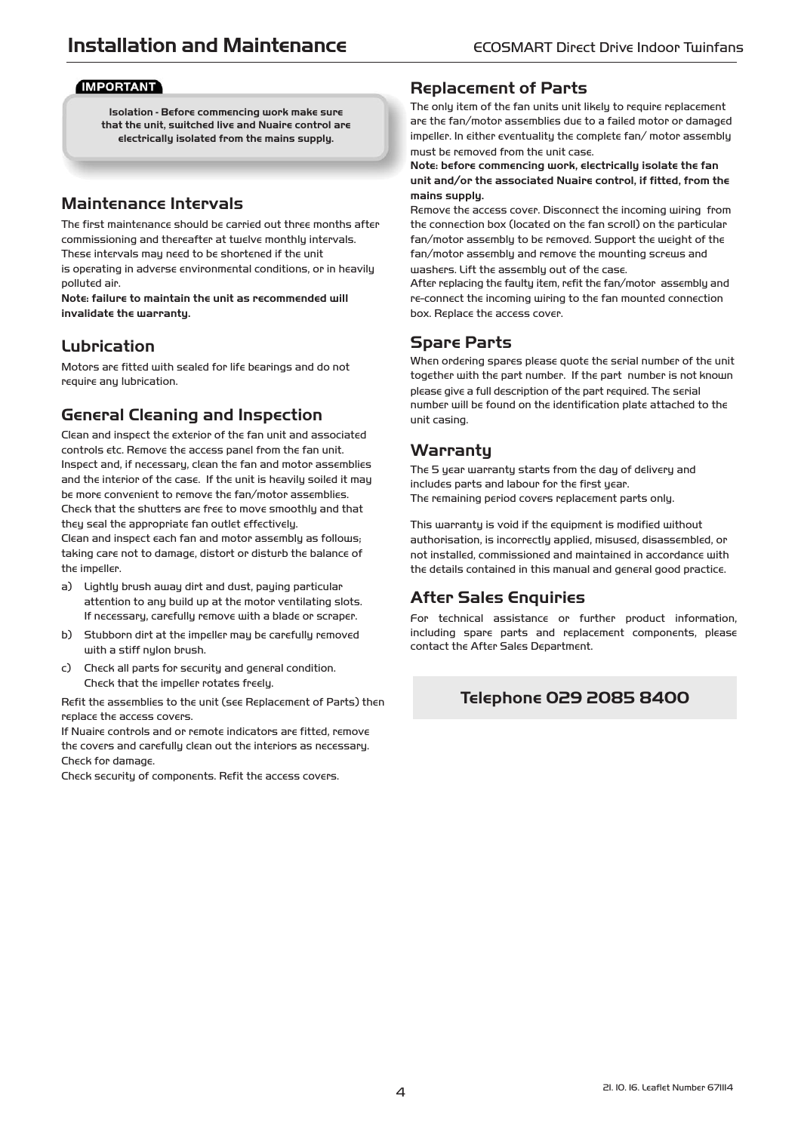### **IMPORTANT**

**Isolation - Before commencing work make sure that the unit, switched live and Nuaire control are electrically isolated from the mains supply.** 

### **Maintenance Intervals**

The first maintenance should be carried out three months after commissioning and thereafter at twelve monthly intervals. These intervals may need to be shortened if the unit is operating in adverse environmental conditions, or in heavily polluted air.

**Note: failure to maintain the unit as recommended will invalidate the warranty.**

## **Lubrication**

Motors are fitted with sealed for life bearings and do not require any lubrication.

### **General Cleaning and Inspection**

Clean and inspect the exterior of the fan unit and associated controls etc. Remove the access panel from the fan unit. Inspect and, if necessary, clean the fan and motor assemblies and the interior of the case. If the unit is heavily soiled it may be more convenient to remove the fan/motor assemblies. Check that the shutters are free to move smoothly and that they seal the appropriate fan outlet effectively.

Clean and inspect each fan and motor assembly as follows; taking care not to damage, distort or disturb the balance of the impeller.

- a) Lightly brush away dirt and dust, paying particular attention to any build up at the motor ventilating slots. If necessary, carefully remove with a blade or scraper.
- b) Stubborn dirt at the impeller may be carefully removed with a stiff nylon brush.
- c) Check all parts for security and general condition. Check that the impeller rotates freely.

Refit the assemblies to the unit (see Replacement of Parts) then replace the access covers.

If Nuaire controls and or remote indicators are fitted, remove the covers and carefully clean out the interiors as necessary. Check for damage.

Check security of components. Refit the access covers.

### **Replacement of Parts**

The only item of the fan units unit likely to require replacement are the fan/motor assemblies due to a failed motor or damaged impeller. In either eventuality the complete fan/ motor assembly must be removed from the unit case.

#### **Note: before commencing work, electrically isolate the fan unit and/or the associated Nuaire control, if fitted, from the mains supply.**

Remove the access cover. Disconnect the incoming wiring from the connection box (located on the fan scroll) on the particular fan/motor assembly to be removed. Support the weight of the fan/motor assembly and remove the mounting screws and washers. Lift the assembly out of the case.

After replacing the faulty item, refit the fan/motor assembly and re-connect the incoming wiring to the fan mounted connection box. Replace the access cover.

### **Spare Parts**

When ordering spares please quote the serial number of the unit together with the part number. If the part number is not known please give a full description of the part required. The serial number will be found on the identification plate attached to the unit casing.

### **Warranty**

The 5 year warranty starts from the day of delivery and includes parts and labour for the first year. The remaining period covers replacement parts only.

This warranty is void if the equipment is modified without authorisation, is incorrectly applied, misused, disassembled, or not installed, commissioned and maintained in accordance with the details contained in this manual and general good practice.

## After Sales Enquiries

For technical assistance or further product information, including spare parts and replacement components, please contact the After Sales Department.

### **Telephone 029 2085 8400**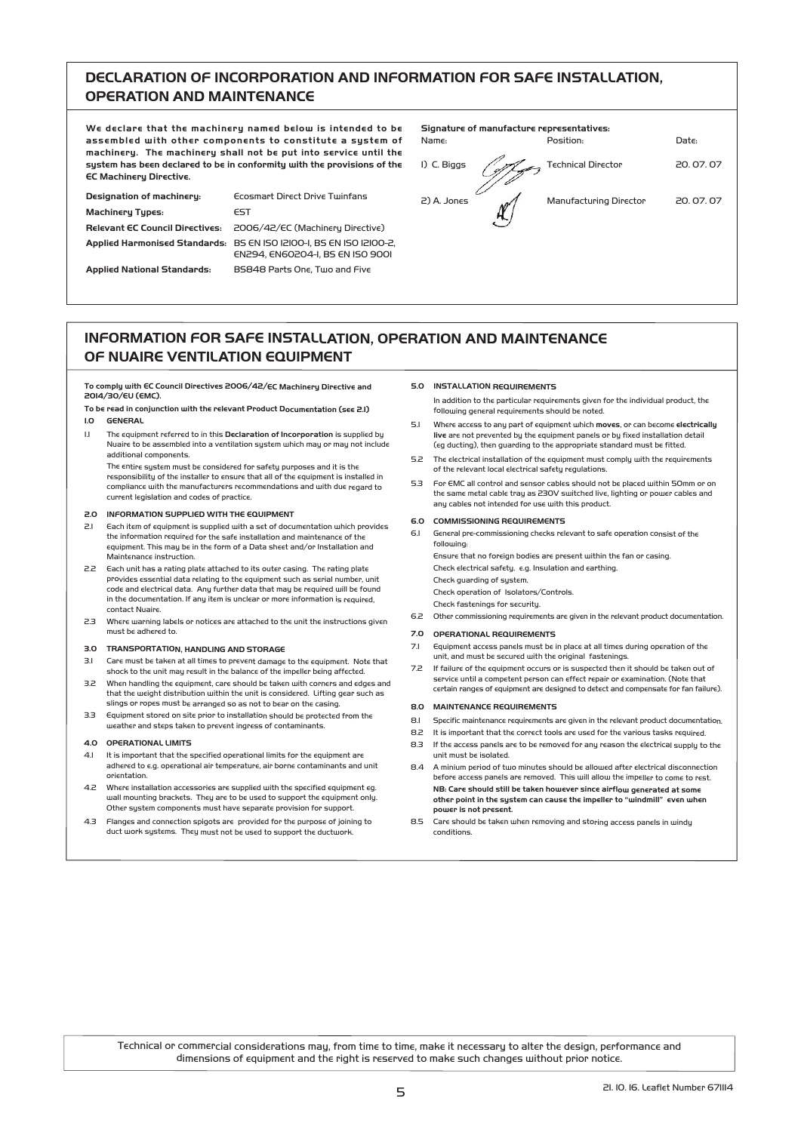### **DECLARATION OF INCORPORATION AND INFORMATION FOR SAFE INSTALLATION, OPERATION AND MAINTENANCE**

**We declare that the machinery named below is intended to be assembled with other components to constitute a system of machinery. The machinery shall not be put into service until the system has been declared to be in conformity with the provisions of the EC Machinery Directive.**

**Designation of machinery: Ecosmart Direct Drive Twinfans Machinery Types:** EST **Relevant EC Council Directives:** 2006/42/EC (Machinery Directive) **Applied Harmonised Standards:** BS EN ISO 12100-1, BS EN ISO 12100-2, EN294, EN60204-1, BS EN ISO 9001 **Applied National Standards:** BS848 Parts One, Two and Five

**Signature of manufacture representatives:**

Name: Position: Date: 2) A. Jones Manufacturing Director 20. 07. 07

1) C. Biggs / 1 Technical Director 20.07.07

### **INFORMATION FOR SAFE INSTALLATION, OPERATION AND MAINTENANCE OF NUAIRE VENTILATION EQUIPMENT**

**To comply with EC Council Directives 2006/42/EC Machinery Directive and 20**1**4/**30**/E**U (**EMC).**

**To be read in conjunction with the relevant Product Documentation (see 2.1) 1.0 GENERAL**

1.1 The equipment referred to in this **Declaration of Incorporation** is supplied by Nuaire to be assembled into a ventilation system which may or may not include additional components.

The entire system must be considered for safety purposes and it is the responsibility of the installer to ensure that all of the equipment is installed in compliance with the manufacturers recommendations and with due regard to current legislation and codes of practice.

#### **2.0 INFORMATION SUPPLIED WITH THE EQUIPMENT**

- 2.1 Each item of equipment is supplied with a set of documentation which provides the information required for the safe installation and maintenance of the equipment. This may be in the form of a Data sheet and/or Installation and Maintenance instruction.
- 2.2 Each unit has a rating plate attached to its outer casing. The rating plate provides essential data relating to the equipment such as serial number, unit code and electrical data. Any further data that may be required will be found in the documentation. If any item is unclear or more information is required, contact Nuaire.
- 2.3 Where warning labels or notices are attached to the unit the instructions given must be adhered to.

#### **3.0 TRANSPORTATION, HANDLING AND STORAGE**

- 3.1 Care must be taken at all times to prevent damage to the equipment. Note that shock to the unit may result in the balance of the impeller being affected.
- 3.2 When handling the equipment, care should be taken with corners and edges and that the weight distribution within the unit is considered. Lifting gear such as slings or ropes must be arranged so as not to bear on the casing.
- 3.3 Equipment stored on site prior to installation should be protected from the weather and steps taken to prevent ingress of contaminants.

#### **4.0 OPERATIONAL LIMITS**

- 4.1 It is important that the specified operational limits for the equipment are adhered to e.g. operational air temperature, air borne contaminants and unit orientation.
- 4.2 Where installation accessories are supplied with the specified equipment eq. wall mounting brackets. They are to be used to support the equipment only. Other system components must have separate provision for support.
- 4.3 Flanges and connection spigots are provided for the purpose of joining to duct work systems. They must not be used to support the ductwork.

#### **5.0 INSTALLATION REQUIREMENTS**

In addition to the particular requirements given for the individual product, the following general requirements should be noted.

- 5.1 Where access to any part of equipment which **moves**, or can become **electrically live** are not prevented by the equipment panels or by fixed installation detail (eg ducting), then guarding to the appropriate standard must be fitted.
- 5.2 The electrical installation of the equipment must comply with the requirements of the relevant local electrical safety regulations.
- 5.3 For EMC all control and sensor cables should not be placed within 50mm or on the same metal cable tray as 230V switched live, lighting or power cables and any cables not intended for use with this product.

#### **6.0 COMMISSIONING REQUIREMENTS**

6.1 General pre-commissioning checks relevant to safe operation consist of the following: Ensure that no foreign bodies are present within the fan or casing. Check electrical safety. e.g. Insulation and earthing. Check guarding of system.

Check operation of Isolators/Controls. Check fastenings for security.

6.2 Other commissioning requirements are given in the relevant product documentation.

#### **7.0 OPERATIONAL REQUIREMENTS**

- 7.1 Equipment access panels must be in place at all times during operation of the unit, and must be secured with the original fastenings.
- 7.2 If failure of the equipment occurs or is suspected then it should be taken out of service until a competent person can effect repair or examination. (Note that certain ranges of equipment are designed to detect and compensate for fan failure).

#### **8.0 MAINTENANCE REQUIREMENTS**

- 8.1 Specific maintenance requirements are given in the relevant product documentation.
- 8.2 It is important that the correct tools are used for the various tasks required.
- 8.3 If the access panels are to be removed for any reason the electrical supply to the unit must be isolated.
- 8.4 A minium period of two minutes should be allowed after electrical disconnection before access panels are removed. This will allow the impeller to come to rest. **NB: Care should still be taken however since airflow generated at some other point in the system can cause the impeller to "windmill" even when power is not present.**
- 8.5 Care should be taken when removing and storing access panels in windy conditions.

Technical or commercial considerations may, from time to time, make it necessary to alter the design, performance and dimensions of equipment and the right is reserved to make such changes without prior notice.